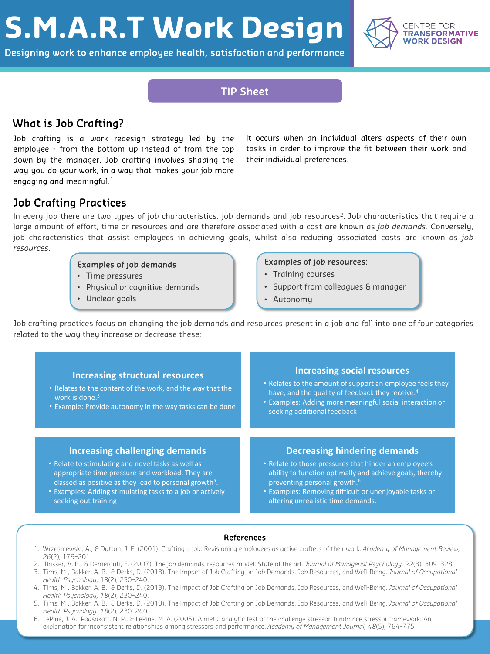# **S.M.A.R.T Work Design**

Designing work to enhance employee health, satisfaction and performance



## TIP Sheet

## What is Job Crafting?

Job crafting is a work redesign strategy led by the employee - from the bottom up instead of from the top down by the manager. Job crafting involves shaping the way you do your work, in a way that makes your job more engaging and meaningful. 1

It occurs when an individual alters aspects of their own tasks in order to improve the fit between their work and their individual preferences.

## Job Crafting Practices

In every job there are two types of job characteristics: job demands and job resources<sup>2</sup>. Job characteristics that require a large amount of effort, time or resources and are therefore associated with a cost are known as *job demands*. Conversely, job characteristics that assist employees in achieving goals, whilst also reducing associated costs are known as *job resources*.

### Examples of job demands

- Time pressures
- Physical or cognitive demands
- Unclear goals

### Examples of job resources:

- Training courses
- Support from colleagues & manager
- Autonomy

Job crafting practices focus on changing the job demands and resources present in a job and fall into one of four categories related to the way they increase or decrease these:

| <b>Increasing structural resources</b><br>. Relates to the content of the work, and the way that the<br>work is done. <sup>3</sup><br>• Example: Provide autonomy in the way tasks can be done | <b>Increasing social resources</b><br>• Relates to the amount of support an employee feels they<br>have, and the quality of feedback they receive. <sup>4</sup><br>• Examples: Adding more meaningful social interaction or<br>seeking additional feedback |
|------------------------------------------------------------------------------------------------------------------------------------------------------------------------------------------------|------------------------------------------------------------------------------------------------------------------------------------------------------------------------------------------------------------------------------------------------------------|
| <b>Increasing challenging demands</b>                                                                                                                                                          | <b>Decreasing hindering demands</b>                                                                                                                                                                                                                        |
| • Relate to stimulating and novel tasks as well as                                                                                                                                             | • Relate to those pressures that hinder an employee's                                                                                                                                                                                                      |
| appropriate time pressure and workload. They are                                                                                                                                               | ability to function optimally and achieve goals, thereby                                                                                                                                                                                                   |
| classed as positive as they lead to personal growth <sup>5</sup> .                                                                                                                             | preventing personal growth. <sup>6</sup>                                                                                                                                                                                                                   |
| • Examples: Adding stimulating tasks to a job or actively                                                                                                                                      | • Examples: Removing difficult or unenjoyable tasks or                                                                                                                                                                                                     |
| seeking out training                                                                                                                                                                           | altering unrealistic time demands.                                                                                                                                                                                                                         |

### References

- 1. Wrzesniewski, A., & Dutton, J. E. (2001). Crafting a job: Revisioning employees as active crafters of their work. *Academy of Management Review, 26*(2), 179–201.
- 2. Bakker, A. B., & Demerouti, E. (2007). The job demands-resources model: State of the art. *Journal of Managerial Psychology, 22*(3), 309–328.
- 3. Tims, M., Bakker, A. B., & Derks, D. (2013). The Impact of Job Crafting on Job Demands, Job Resources, and Well-Being. *Journal of Occupational Health Psychology*, 18(2), 230–240.
- 4. Tims, M., Bakker, A. B., & Derks, D. (2013). The Impact of Job Crafting on Job Demands, Job Resources, and Well-Being. *Journal of Occupational Health Psychology, 18*(2), 230–240.
- 5. Tims, M., Bakker, A. B., & Derks, D. (2013). The Impact of Job Crafting on Job Demands, Job Resources, and Well-Being. *Journal of Occupational Health Psychology, 18*(2), 230–240.
- 6. LePine, J. A., Podsakoff, N. P., & LePine, M. A. (2005). A meta-analytic test of the challenge stressor–hindrance stressor framework: An explanation for inconsistent relationships among stressors and performance. *Academy of Management Journal, 48*(5), 764-775